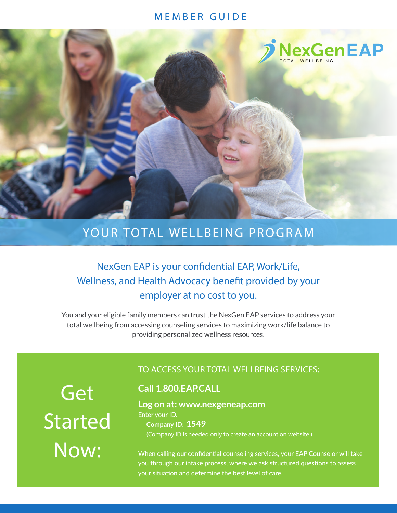### MEMBER GUIDE



# YOUR TOTAL WELLBEING PROGRAM

## NexGen EAP is your confidential EAP, Work/Life, Wellness, and Health Advocacy benefit provided by your employer at no cost to you.

You and your eligible family members can trust the NexGen EAP services to address your total wellbeing from accessing counseling services to maximizing work/life balance to providing personalized wellness resources.

Get Started Now:

## TO ACCESS YOUR TOTAL WELLBEING SERVICES:

## **Call 1.800.EAP.CALL**

**Log on at: www.nexgeneap.com** Enter your ID. **Company ID: 1549**

(Company ID is needed only to create an account on website.)

When calling our confidential counseling services, your EAP Counselor will take you through our intake process, where we ask structured questions to assess your situation and determine the best level of care.